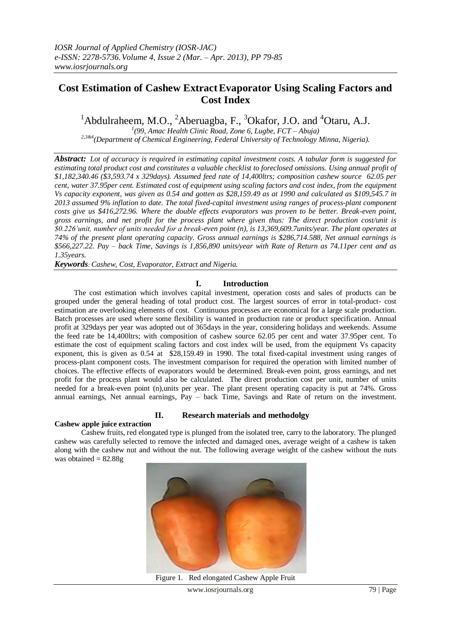# **Cost Estimation of Cashew ExtractEvaporator Using Scaling Factors and Cost Index**

<sup>1</sup>Abdulraheem, M.O., <sup>2</sup>Aberuagba, F., <sup>3</sup>Okafor, J.O. and <sup>4</sup>Otaru, A.J.

*1 (99, Amac Health Clinic Road, Zone 6, Lugbe, FCT – Abuja)* 

*2,3&4(Department of Chemical Engineering, Federal University of Technology Minna, Nigeria).*

*Abstract: Lot of accuracy is required in estimating capital investment costs. A tabular form is suggested for estimating total product cost and constitutes a valuable checklist to foreclosed omissions. Using annual profit of \$1,182,340.46 (\$3,593.74 x 329days). Assumed feed rate of 14,400ltrs; composition cashew source 62.05 per cent, water 37.95per cent. Estimated cost of equipment using scaling factors and cost index, from the equipment Vs capacity exponent, was given as 0.54 and gotten as \$28,159.49 as at 1990 and calculated as \$109,545.7 in 2013 assumed 9% inflation to date. The total fixed-capital investment using ranges of process-plant component costs give us \$416,272.96. Where the double effects evaporators was proven to be better. Break-even point, gross earnings, and net profit for the process plant where given thus: The direct production cost/unit is \$0.226'unit, number of units needed for a break-even point (n), is 13,369,609.7units/year. The plant operates at 74% of the present plant operating capacity. Gross annual earnings is \$286,714.588, Net annual earnings is \$566,227.22. Pay – back Time, Savings is 1,856,890 units/year with Rate of Return as 74.11per cent and as 1.35years.*

*Keywords: Cashew, Cost, Evaporator, Extract and Nigeria.*

# **I. Introduction**

 The cost estimation which involves capital investment, operation costs and sales of products can be grouped under the general heading of total product cost. The largest sources of error in total-product- cost estimation are overlooking elements of cost. Continuous processes are economical for a large scale production. Batch processes are used where some flexibility is wanted in production rate or product specification. Annual profit at 329days per year was adopted out of 365days in the year, considering holidays and weekends. Assume the feed rate be 14,400ltrs; with composition of cashew source 62.05 per cent and water 37.95per cent. To estimate the cost of equipment scaling factors and cost index will be used, from the equipment Vs capacity exponent, this is given as 0.54 at \$28,159.49 in 1990. The total fixed-capital investment using ranges of process-plant component costs. The investment comparison for required the operation with limited number of choices. The effective effects of evaporators would be determined. Break-even point, gross earnings, and net profit for the process plant would also be calculated. The direct production cost per unit, number of units needed for a break-even point (n),units per year. The plant present operating capacity is put at 74%. Gross annual earnings, Net annual earnings, Pay – back Time, Savings and Rate of return on the investment.

# **II. Research materials and methodolgy Cashew apple juice extraction**

Cashew fruits, red elongated type is plunged from the isolated tree, carry to the laboratory. The plunged cashew was carefully selected to remove the infected and damaged ones, average weight of a cashew is taken along with the cashew nut and without the nut. The following average weight of the cashew without the nuts was obtained  $= 82.88g$ 



Figure 1. Red elongated Cashew Apple Fruit

www.iosrjournals.org 79 | Page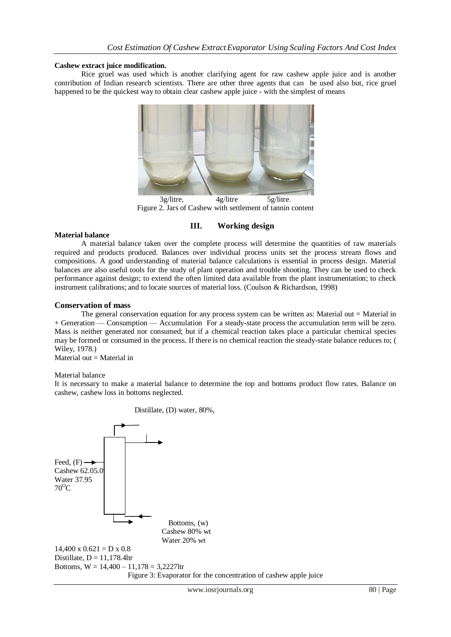## **Cashew extract juice modification.**

Rice gruel was used which is another clarifying agent for raw cashew apple juice and is another contribution of Indian research scientists. There are other three agents that can be used also but, rice gruel happened to be the quickest way to obtain clear cashew apple juice - with the simplest of means



3g/litre, 4g/litre 5g/litre. Figure 2. Jars of Cashew with settlement of tannin content

# **III. Working design**

## **Material balance**

A material balance taken over the complete process will determine the quantities of raw materials required and products produced. Balances over individual process units set the process stream flows and compositions. A good understanding of material balance calculations is essential in process design. Material balances are also useful tools for the study of plant operation and trouble shooting. They can be used to check performance against design; to extend the often limited data available from the plant instrumentation; to check instrument calibrations; and to locate sources of material loss. (Coulson & Richardson, 1998)

## **Conservation of mass**

The general conservation equation for any process system can be written as: Material out = Material in + Generation — Consumption — Accumulation For a steady-state process the accumulation term will be zero. Mass is neither generated nor consumed; but if a chemical reaction takes place a particular chemical species may be formed or consumed in the process. If there is no chemical reaction the steady-state balance reduces to; ( Wiley, 1978.)

Material out  $=$  Material in

### Material balance

It is necessary to make a material balance to determine the top and bottoms product flow rates. Balance on cashew, cashew loss in bottoms neglected.

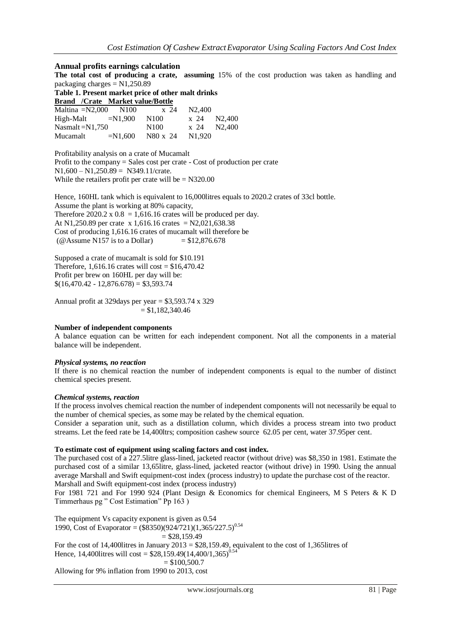## **Annual profits earnings calculation**

**The total cost of producing a crate, assuming** 15% of the cost production was taken as handling and packaging charges  $= N1,250.89$ 

**Table 1. Present market price of other malt drinks** 

|                     | <b>Brand</b> /Crate Market value/Bottle |                  |                     |  |
|---------------------|-----------------------------------------|------------------|---------------------|--|
|                     | Maltina $=N2,000$ N100                  | x 24             | N <sub>2</sub> .400 |  |
| $High-Malt$ =N1,900 |                                         | N100             | x 24 N2,400         |  |
| $Nasmalt = N1,750$  |                                         | N <sub>100</sub> | x 24 N2,400         |  |
| Mucamalt            | $=N1.600$                               | N80 x 24         | N <sub>1.920</sub>  |  |

Profitability analysis on a crate of Mucamalt Profit to the company = Sales cost per crate - Cost of production per crate  $N1,600 - N1,250.89 = N349.11/crate.$ While the retailers profit per crate will be  $= N320.00$ 

Hence, 160HL tank which is equivalent to 16,000litres equals to 2020.2 crates of 33cl bottle. Assume the plant is working at 80% capacity, Therefore  $2020.2 \times 0.8 = 1.616.16$  crates will be produced per day. At N1,250.89 per crate x 1,616.16 crates = N2,021,638.38 Cost of producing 1,616.16 crates of mucamalt will therefore be (@Assume N157 is to a Dollar)  $= $12,876.678$ 

Supposed a crate of mucamalt is sold for \$10.191 Therefore, 1,616.16 crates will cost =  $$16,470.42$ Profit per brew on 160HL per day will be:  $$(16,470.42 - 12,876.678) = $3,593.74$ 

Annual profit at 329days per year = \$3,593.74 x 329  $= $1,182,340.46$ 

# **Number of independent components**

A balance equation can be written for each independent component. Not all the components in a material balance will be independent.

### *Physical systems, no reaction*

If there is no chemical reaction the number of independent components is equal to the number of distinct chemical species present.

### *Chemical systems, reaction*

If the process involves chemical reaction the number of independent components will not necessarily be equal to the number of chemical species, as some may be related by the chemical equation.

Consider a separation unit, such as a distillation column, which divides a process stream into two product streams. Let the feed rate be 14,400ltrs; composition cashew source 62.05 per cent, water 37.95per cent.

### **To estimate cost of equipment using scaling factors and cost index.**

The purchased cost of a 227.5litre glass-lined, jacketed reactor (without drive) was \$8,350 in 1981. Estimate the purchased cost of a similar 13,65litre, glass-lined, jacketed reactor (without drive) in 1990. Using the annual average Marshall and Swift equipment-cost index (process industry) to update the purchase cost of the reactor. Marshall and Swift equipment-cost index (process industry)

For 1981 721 and For 1990 924 (Plant Design & Economics for chemical Engineers, M S Peters & K D Timmerhaus pg " Cost Estimation" Pp 163 )

The equipment Vs capacity exponent is given as 0.54 1990, Cost of Evaporator =  $(\$8350)(924721)(1,365/227.5)^{0.54}$  $=$  \$28,159.49 For the cost of 14,400 litres in January 2013 =  $$28,159.49$ , equivalent to the cost of 1,365 litres of Hence, 14,400 litres will cost =  $$28,159.49(14,400/1,365)^{0.54}$  $= $100,500.7$ 

Allowing for 9% inflation from 1990 to 2013, cost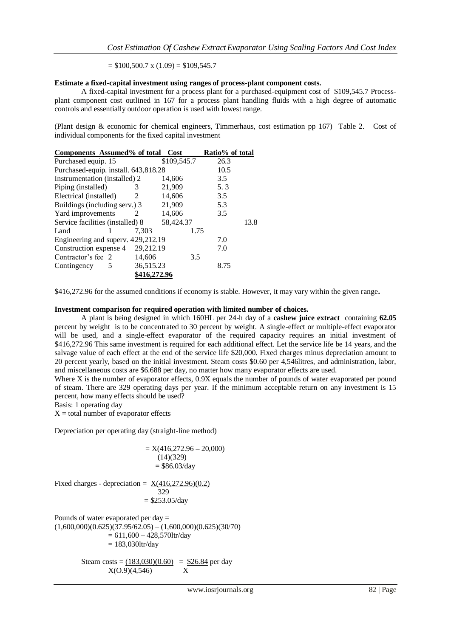$=$  \$100,500.7 x (1.09) = \$109,545.7

### **Estimate a fixed-capital investment using ranges of process-plant component costs.**

A fixed-capital investment for a process plant for a purchased-equipment cost of \$109,545.7 Processplant component cost outlined in 167 for a process plant handling fluids with a high degree of automatic controls and essentially outdoor operation is used with lowest range.

(Plant design & economic for chemical engineers, Timmerhaus, cost estimation pp 167) Table 2. Cost of individual components for the fixed capital investment

| Components Assumed% of total Cost    |              |           | Ratio% of total |      |
|--------------------------------------|--------------|-----------|-----------------|------|
| Purchased equip. 15                  | \$109,545.7  | 26.3      |                 |      |
| Purchased-equip. install. 643,818.28 |              |           | 10.5            |      |
| Instrumentation (installed) 2        |              | 14,606    | 3.5             |      |
| Piping (installed)                   | 3            | 21,909    | 5.3             |      |
| Electrical (installed)               | 2            | 14,606    | 3.5             |      |
| Buildings (including serv.) 3        |              | 21,909    | 5.3             |      |
| Yard improvements                    | 2            | 14,606    | 3.5             |      |
| Service facilities (installed) 8     |              | 58,424.37 |                 | 13.8 |
| Land                                 | 7.303        | 1.75      |                 |      |
| Engineering and superv. 429,212.19   | 7.0          |           |                 |      |
| Construction expense 4               | 29,212.19    |           | 7.0             |      |
| Contractor's fee 2                   | 14,606       | 3.5       |                 |      |
| Contingency<br>5                     | 36.515.23    |           | 8.75            |      |
|                                      | \$416,272.96 |           |                 |      |

\$416,272.96 for the assumed conditions if economy is stable. However, it may vary within the given range**.**

#### **Investment comparison for required operation with limited number of choices.**

A plant is being designed in which 160HL per 24-h day of a **cashew juice extract** containing **62.05** percent by weight is to be concentrated to 30 percent by weight. A single-effect or multiple-effect evaporator will be used, and a single-effect evaporator of the required capacity requires an initial investment of \$416,272.96 This same investment is required for each additional effect. Let the service life be 14 years, and the salvage value of each effect at the end of the service life \$20,000. Fixed charges minus depreciation amount to 20 percent yearly, based on the initial investment. Steam costs \$0.60 per 4,546litres, and administration, labor, and miscellaneous costs are \$6.688 per day, no matter how many evaporator effects are used.

Where X is the number of evaporator effects,  $0.9X$  equals the number of pounds of water evaporated per pound of steam. There are 329 operating days per year. If the minimum acceptable return on any investment is 15 percent, how many effects should be used?

Basis: 1 operating day

 $X =$  total number of evaporator effects

Depreciation per operating day (straight-line method)

$$
= \frac{X(416,272.96 - 20,000)}{(14)(329)}
$$
  
\n
$$
= $86.03/day
$$
  
\nFixed charges - depreciation = 
$$
\frac{X(416,272.96)(0.2)}{329}
$$
  
\n
$$
= $253.05/day
$$
  
\nPounds of water evaporated per day =  
\n(1,600,000)(0.625)(37.95/62.05) – (1,600,000)(0.625)(30/70)  
\n
$$
= 611,600 - 428,570 \text{tr/day}
$$
  
\n= 183,030 \text{tr/day}

Steam costs =  $(183,030)(0.60)$  = \$26.84 per day  $X(0.9)(4.546)$  X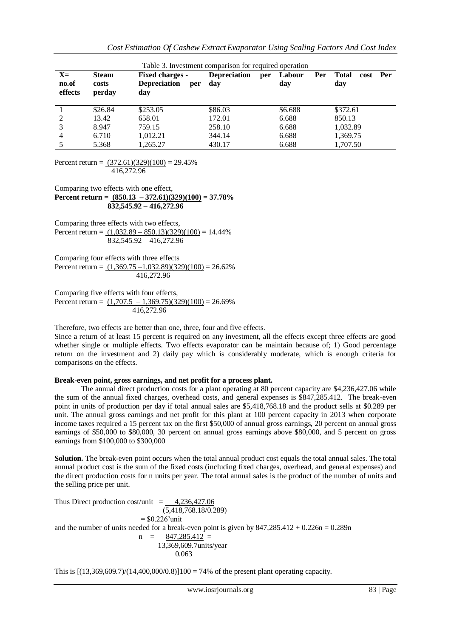| Table 3. Investment comparison for required operation |                                 |                                                             |                            |     |               |     |                             |     |
|-------------------------------------------------------|---------------------------------|-------------------------------------------------------------|----------------------------|-----|---------------|-----|-----------------------------|-----|
| $X=$<br>no.of<br>effects                              | <b>Steam</b><br>costs<br>perday | <b>Fixed charges -</b><br><b>Depreciation</b><br>per<br>day | <b>Depreciation</b><br>day | per | Labour<br>day | Per | <b>Total</b><br>cost<br>day | Per |
|                                                       | \$26.84                         | \$253.05                                                    | \$86.03                    |     | \$6.688       |     | \$372.61                    |     |
| 2                                                     | 13.42                           | 658.01                                                      | 172.01                     |     | 6.688         |     | 850.13                      |     |
|                                                       | 8.947                           | 759.15                                                      | 258.10                     |     | 6.688         |     | 1,032.89                    |     |
| 4                                                     | 6.710                           | 1.012.21                                                    | 344.14                     |     | 6.688         |     | 1,369.75                    |     |
|                                                       | 5.368                           | 1.265.27                                                    | 430.17                     |     | 6.688         |     | 1.707.50                    |     |

Percent return =  $(372.61)(329)(100) = 29.45%$ 416,272.96

Comparing two effects with one effect, **Percent return = (850.13 – 372.61)(329)(100) = 37.78% 832,545.92 – 416,272.96** 

Comparing three effects with two effects, Percent return =  $(1,032.89 - 850.13)(329)(100) = 14.44\%$ 832,545.92 – 416,272.96

Comparing four effects with three effects Percent return =  $(1,369.75 - 1,032.89)(329)(100) = 26.62\%$ 416,272.96

Comparing five effects with four effects, Percent return =  $(1,707.5 - 1,369.75)(329)(100) = 26.69\%$ 416,272.96

Therefore, two effects are better than one, three, four and five effects.

Since a return of at least 15 percent is required on any investment, all the effects except three effects are good whether single or multiple effects. Two effects evaporator can be maintain because of; 1) Good percentage return on the investment and 2) daily pay which is considerably moderate, which is enough criteria for comparisons on the effects.

### **Break-even point, gross earnings, and net profit for a process plant.**

The annual direct production costs for a plant operating at 80 percent capacity are \$4,236,427.06 while the sum of the annual fixed charges, overhead costs, and general expenses is \$847,285.412. The break-even point in units of production per day if total annual sales are \$5,418,768.18 and the product sells at \$0.289 per unit. The annual gross earnings and net profit for this plant at 100 percent capacity in 2013 when corporate income taxes required a 15 percent tax on the first \$50,000 of annual gross earnings, 20 percent on annual gross earnings of \$50,000 to \$80,000, 30 percent on annual gross earnings above \$80,000, and 5 percent on gross earnings from \$100,000 to \$300,000

**Solution.** The break-even point occurs when the total annual product cost equals the total annual sales. The total annual product cost is the sum of the fixed costs (including fixed charges, overhead, and general expenses) and the direct production costs for n units per year. The total annual sales is the product of the number of units and the selling price per unit.

Thus Direct production cost/unit  $=$  4,236,427.06  $(5,418,768,18/0,289)$  $=$  \$0.226'unit and the number of units needed for a break-even point is given by  $847,285.412 + 0.226n = 0.289n$  $n = 847,285.412 =$  13,369,609.7units/year 0.063

This is  $[(13,369,609.7)/(14,400,000/0.8)]100 = 74%$  of the present plant operating capacity.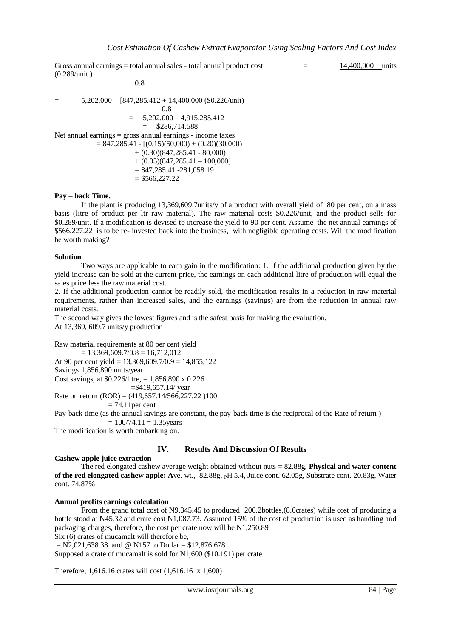Gross annual earnings  $=$  total annual sales - total annual product cost  $=$  14,400,000 units (0.289/unit )

$$
= 5,202,000 - [847,285.412 + \underline{14,400,000}(\$0.226/unit) \n0.8
$$
  
\n
$$
= 5,202,000 - 4,915,285.412 \n= \$286,714.588
$$
  
\nNet annual earnings = gross annual earnings - income taxes  
\n
$$
= 847,285.41 - [(0.15)(50,000) + (0.20)(30,000) \n+ (0.30)(847,285.41 - 80,000) \n+ (0.05)(847,285.41 - 100,000) \n= 847,285.41 -281,058.19 \n= \$566,227.22
$$

0.8

#### **Pay – back Time.**

If the plant is producing 13,369,609.7units/y of a product with overall yield of 80 per cent, on a mass basis (litre of product per ltr raw material). The raw material costs \$0.226/unit, and the product sells for \$0.289/unit. If a modification is devised to increase the yield to 90 per cent. Assume the net annual earnings of \$566,227.22 is to be re- invested back into the business, with negligible operating costs. Will the modification be worth making?

#### **Solution**

Two ways are applicable to earn gain in the modification: 1. If the additional production given by the yield increase can be sold at the current price, the earnings on each additional litre of production will equal the sales price less the raw material cost.

2. If the additional production cannot be readily sold, the modification results in a reduction in raw material requirements, rather than increased sales, and the earnings (savings) are from the reduction in annual raw material costs.

The second way gives the lowest figures and is the safest basis for making the evaluation. At 13,369, 609.7 units/y production

Raw material requirements at 80 per cent yield  $= 13,369,609,7/0.8 = 16,712,012$ At 90 per cent yield =  $13,369,609.7/0.9 = 14,855,122$ Savings 1,856,890 units/year Cost savings, at \$0.226/litre, = 1,856,890 x 0.226 =\$419,657.14/ year

Rate on return  $(ROR) = (419,657.14/566,227.22)100$ 

 $= 74.11$  per cent

Pay-back time (as the annual savings are constant, the pay-back time is the reciprocal of the Rate of return )  $= 100/74.11 = 1.35$ years

The modification is worth embarking on.

### **IV. Results And Discussion Of Results**

### **Cashew apple juice extraction**

The red elongated cashew average weight obtained without nuts = 82.88g, **Physical and water content of the red elongated cashew apple: A**ve. wt., 82.88g, PH 5.4, Juice cont. 62.05g, Substrate cont. 20.83g, Water cont. 74.87%

## **Annual profits earnings calculation**

From the grand total cost of N9,345.45 to produced 206.2bottles,(8.6crates) while cost of producing a bottle stood at N45.32 and crate cost N1,087.73. Assumed 15% of the cost of production is used as handling and packaging charges, therefore, the cost per crate now will be N1,250.89 Six (6) crates of mucamalt will therefore be,

 $= N2,021,638,38$  and @ N157 to Dollar = \$12,876,678

Supposed a crate of mucamalt is sold for N1,600 (\$10.191) per crate

Therefore, 1,616.16 crates will cost (1,616.16 x 1,600)